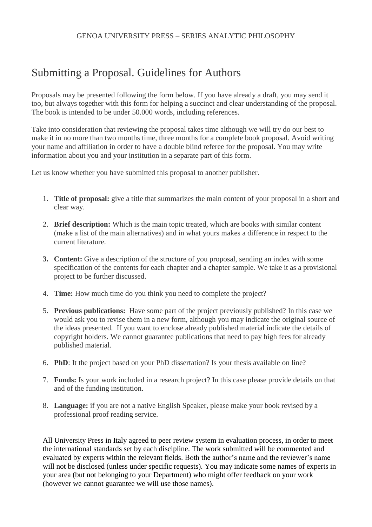## GENOA UNIVERSITY PRESS – SERIES ANALYTIC PHILOSOPHY

## Submitting a Proposal. Guidelines for Authors

Proposals may be presented following the form below. If you have already a draft, you may send it too, but always together with this form for helping a succinct and clear understanding of the proposal. The book is intended to be under 50.000 words, including references.

Take into consideration that reviewing the proposal takes time although we will try do our best to make it in no more than two months time, three months for a complete book proposal. Avoid writing your name and affiliation in order to have a double blind referee for the proposal. You may write information about you and your institution in a separate part of this form.

Let us know whether you have submitted this proposal to another publisher.

- 1. **Title of proposal:** give a title that summarizes the main content of your proposal in a short and clear way.
- 2. **Brief description:** Which is the main topic treated, which are books with similar content (make a list of the main alternatives) and in what yours makes a difference in respect to the current literature.
- **3. Content:** Give a description of the structure of you proposal, sending an index with some specification of the contents for each chapter and a chapter sample. We take it as a provisional project to be further discussed.
- 4. **Time:** How much time do you think you need to complete the project?
- 5. **Previous publications:** Have some part of the project previously published? In this case we would ask you to revise them in a new form, although you may indicate the original source of the ideas presented. If you want to enclose already published material indicate the details of copyright holders. We cannot guarantee publications that need to pay high fees for already published material.
- 6. **PhD**: It the project based on your PhD dissertation? Is your thesis available on line?
- 7. **Funds:** Is your work included in a research project? In this case please provide details on that and of the funding institution.
- 8. **Language:** if you are not a native English Speaker, please make your book revised by a professional proof reading service.

All University Press in Italy agreed to peer review system in evaluation process, in order to meet the international standards set by each discipline. The work submitted will be commented and evaluated by experts within the relevant fields. Both the author's name and the reviewer's name will not be disclosed (unless under specific requests). You may indicate some names of experts in your area (but not belonging to your Department) who might offer feedback on your work (however we cannot guarantee we will use those names).